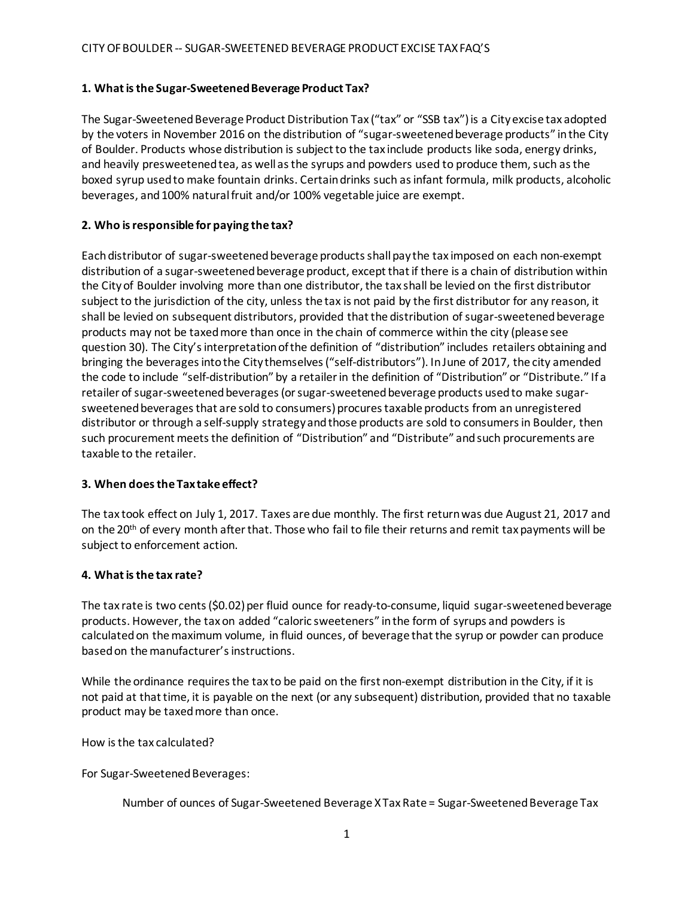### **1. Whatisthe Sugar-SweetenedBeverage Product Tax?**

The Sugar-Sweetened Beverage Product Distribution Tax ("tax" or "SSB tax") is a City excise tax adopted by the voters in November 2016 on the distribution of "sugar-sweetened beverage products" in the City of Boulder. Products whose distribution is subject to the tax include products like soda, energy drinks, and heavily presweetened tea, as well as the syrups and powders used to produce them, such as the boxed syrup used to make fountain drinks. Certain drinks such as infant formula, milk products, alcoholic beverages, and 100% natural fruit and/or 100% vegetable juice are exempt.

# **2. Who isresponsible for paying the tax?**

Each distributor of sugar-sweetened beverage products shall pay the tax imposed on each non-exempt distribution of a sugar-sweetened beverage product, except that if there is a chain of distribution within the City of Boulder involving more than one distributor, the tax shall be levied on the first distributor subject to the jurisdiction of the city, unless the tax is not paid by the first distributor for any reason, it shall be levied on subsequent distributors, provided that the distribution of sugar-sweetened beverage products may not be taxed more than once in the chain of commerce within the city (please see question 30). The City's interpretation of the definition of "distribution" includes retailers obtaining and bringing the beverages into the City themselves ("self-distributors"). In June of 2017, the city amended the code to include "self-distribution" by a retailer in the definition of "Distribution" or "Distribute." If a retailer of sugar-sweetened beverages (or sugar-sweetened beverage products used to make sugarsweetened beverages that are sold to consumers) procures taxable products from an unregistered distributor or through a self-supply strategy and those products are sold to consumers in Boulder, then such procurement meets the definition of "Distribution" and "Distribute" and such procurements are taxable to the retailer.

# **3. When does the Taxtake effect?**

The tax took effect on July 1, 2017. Taxes are due monthly. The first return was due August 21, 2017 and on the 20<sup>th</sup> of every month after that. Those who fail to file their returns and remit tax payments will be subject to enforcement action.

### **4. Whatisthe tax rate?**

The tax rate is two cents (\$0.02) per fluid ounce for ready-to-consume, liquid sugar-sweetened beverage products. However, the tax on added "caloric sweeteners" in the form of syrups and powders is calculated on the maximum volume, in fluid ounces, of beverage that the syrup or powder can produce based on the manufacturer's instructions.

While the ordinance requires the tax to be paid on the first non-exempt distribution in the City, if it is not paid at that time, it is payable on the next (or any subsequent) distribution, provided that no taxable product may be taxedmore than once.

How isthe tax calculated?

For Sugar-Sweetened Beverages:

Number of ounces of Sugar-Sweetened Beverage XTax Rate = Sugar-Sweetened Beverage Tax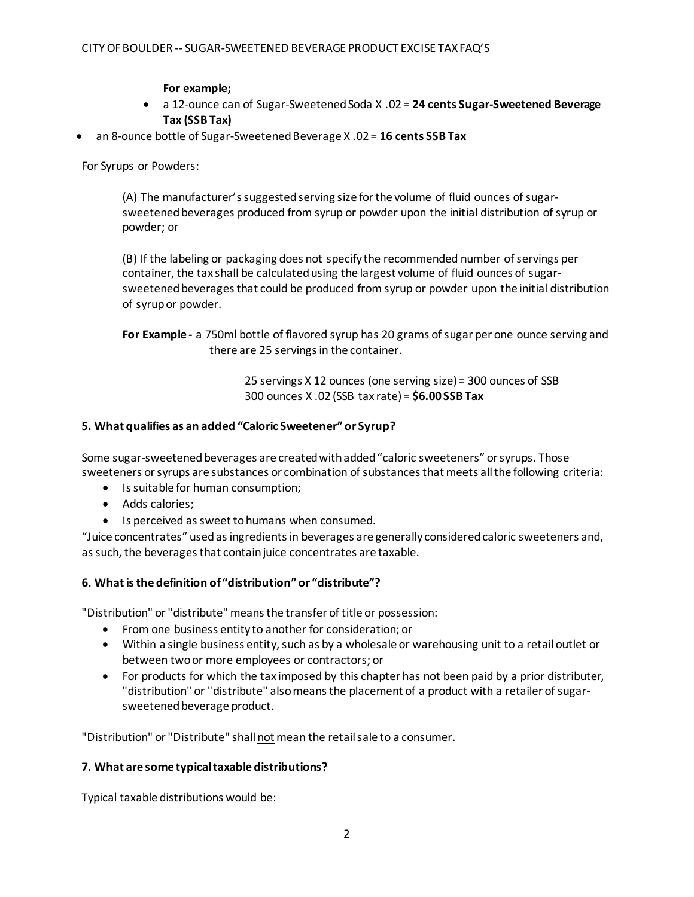**For example;**

- a 12-ounce can of Sugar-Sweetened Soda X .02 = **24 cents Sugar-Sweetened Beverage Tax (SSB Tax)**
- an 8-ounce bottle of Sugar-SweetenedBeverage X .02 = **16 cents SSB Tax**

For Syrups or Powders:

(A) The manufacturer's suggested serving size for the volume of fluid ounces of sugarsweetened beverages produced from syrup or powder upon the initial distribution of syrup or powder; or

(B) If the labeling or packaging does not specify the recommended number of servings per container, the tax shall be calculated using the largest volume of fluid ounces of sugarsweetened beverages that could be produced from syrup or powder upon the initial distribution of syrupor powder.

**For Example -** a 750ml bottle of flavored syrup has 20 grams of sugar per one ounce serving and there are 25 servings in the container.

> 25 servings X 12 ounces (one serving size) = 300 ounces of SSB 300 ounces X .02 (SSB tax rate) = **\$6.00 SSB Tax**

### **5. What qualifies as an added "Caloric Sweetener" or Syrup?**

Some sugar-sweetened beverages are created with added "caloric sweeteners" or syrups. Those sweeteners or syrups are substances or combination of substances that meets all the following criteria:

- Is suitable for human consumption:
- Adds calories;
- Is perceived as sweet to humans when consumed.

"Juice concentrates" usedasingredientsin beverages are generally consideredcaloric sweeteners and, as such, the beverages that contain juice concentrates are taxable.

# **6. Whatisthe definition of "distribution" or "distribute"?**

"Distribution" or "distribute" meansthe transfer of title or possession:

- From one business entity to another for consideration; or
- Within a single business entity, such as by a wholesale or warehousing unit to a retail outlet or between two or more employees or contractors; or
- For products for which the taximposed by this chapter has not been paid by a prior distributer, "distribution" or "distribute" also means the placement of a product with a retailer of sugarsweetened beverage product.

"Distribution" or "Distribute" shallnot mean the retailsale to a consumer.

#### **7. What are some typicaltaxable distributions?**

Typical taxable distributions would be: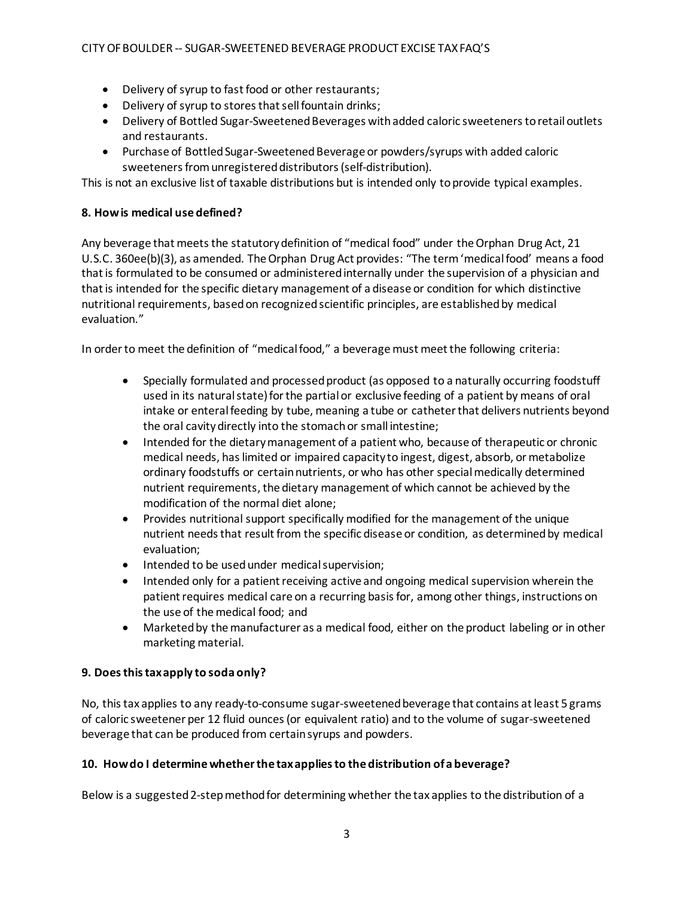- Delivery of syrup to fast food or other restaurants;
- Delivery of syrup to stores that sell fountain drinks;
- Delivery of Bottled Sugar-Sweetened Beverages with added caloric sweeteners to retail outlets and restaurants.
- Purchase of Bottled Sugar-Sweetened Beverage or powders/syrups with added caloric sweeteners from unregistered distributors (self-distribution).

This is not an exclusive list of taxable distributions but is intended only toprovide typical examples.

# **8. Howis medical use defined?**

Any beverage that meets the statutory definition of "medical food" under the Orphan Drug Act, 21 U.S.C. 360ee(b)(3), as amended. The Orphan Drug Act provides: "The term 'medical food' means a food that is formulated to be consumed or administered internally under the supervision of a physician and that is intended for the specific dietary management of a disease or condition for which distinctive nutritional requirements, based on recognized scientific principles, are establishedby medical evaluation."

In order to meet the definition of "medical food," a beverage must meet the following criteria:

- Specially formulated and processed product (as opposed to a naturally occurring foodstuff used in its natural state) for the partial or exclusive feeding of a patient by means of oral intake or enteral feeding by tube, meaning a tube or catheter that delivers nutrients beyond the oral cavitydirectly into the stomachor small intestine;
- Intended for the dietary management of a patient who, because of therapeutic or chronic medical needs, has limited or impaired capacity to ingest, digest, absorb, or metabolize ordinary foodstuffs or certain nutrients, or who has other special medically determined nutrient requirements, the dietary management of which cannot be achieved by the modification of the normal diet alone;
- Provides nutritional support specifically modified for the management of the unique nutrient needs that result from the specific disease or condition, as determined by medical evaluation;
- Intended to be used under medical supervision;
- Intended only for a patient receiving active and ongoing medical supervision wherein the patient requires medical care on a recurring basis for, among other things, instructions on the use of the medical food; and
- Marketed by the manufacturer as a medical food, either on the product labeling or in other marketing material.

# **9. Doesthistaxapply to soda only?**

No, this tax applies to any ready-to-consume sugar-sweetened beverage that contains at least 5 grams of caloric sweetener per 12 fluid ounces (or equivalent ratio) and to the volume of sugar-sweetened beverage that can be produced from certainsyrups and powders.

# **10. Howdo I determinewhetherthe taxappliesto the distribution ofa beverage?**

Below is a suggested 2-step method for determining whether the tax applies to the distribution of a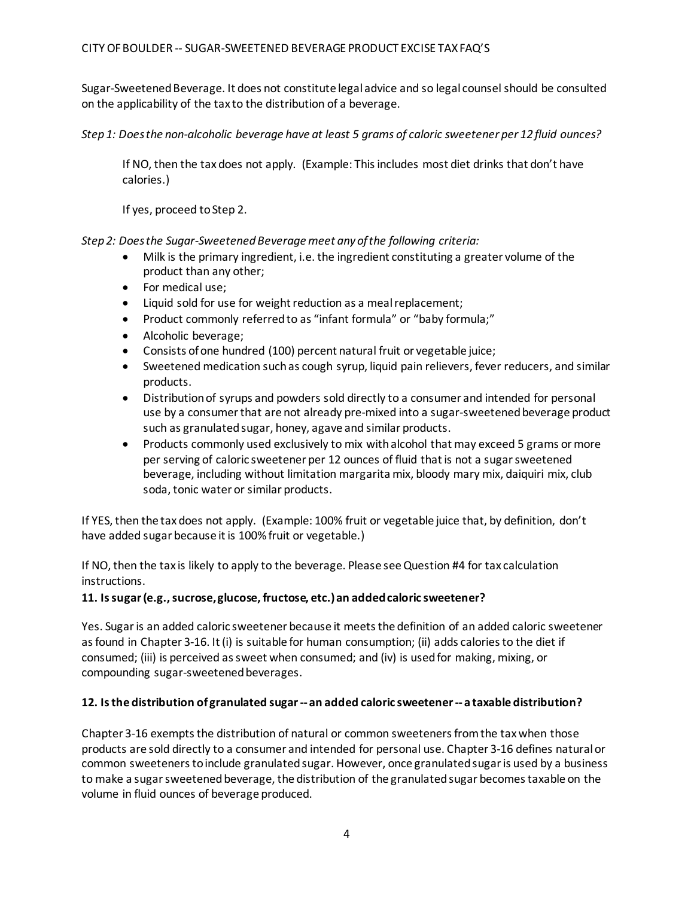Sugar-Sweetened Beverage. It does not constitute legal advice and so legal counsel should be consulted on the applicability of the tax to the distribution of a beverage.

*Step 1: Doesthe non-alcoholic beverage have at least 5 grams of caloric sweetener per 12 fluid ounces?*

If NO, then the tax does not apply. (Example: Thisincludes most diet drinks that don't have calories.)

If yes, proceed toStep 2.

*Step 2: Doesthe Sugar-SweetenedBeverage meet anyofthe following criteria:*

- Milk is the primary ingredient, i.e. the ingredient constituting a greater volume of the product than any other;
- For medical use;
- Liquid sold for use for weight reduction as a mealreplacement;
- Product commonly referredto as "infant formula" or "baby formula;"
- Alcoholic beverage;
- Consists ofone hundred (100) percent natural fruit or vegetable juice;
- Sweetened medication such as cough syrup, liquid pain relievers, fever reducers, and similar products.
- Distribution of syrups and powders sold directly to a consumer and intended for personal use by a consumer that are not already pre-mixed into a sugar-sweetened beverage product such as granulated sugar, honey, agave and similar products.
- Products commonly used exclusively to mix with alcohol that may exceed 5 grams or more per serving of caloric sweetener per 12 ounces of fluid that is not a sugar sweetened beverage, including without limitation margarita mix, bloody mary mix, daiquiri mix, club soda, tonic water or similar products.

If YES, then the tax does not apply. (Example: 100% fruit or vegetable juice that, by definition, don't have added sugar because it is 100% fruit or vegetable.)

If NO, then the tax is likely to apply to the beverage. Please see Question #4 for tax calculation instructions.

# **11. Issugar(e.g.,sucrose,glucose, fructose, etc.)an addedcaloric sweetener?**

Yes. Sugar is an added caloric sweetener because it meets the definition of an added caloric sweetener as found in Chapter 3-16. It (i) is suitable for human consumption; (ii) adds calories to the diet if consumed; (iii) is perceived as sweet when consumed; and (iv) is used for making, mixing, or compounding sugar-sweetened beverages.

# **12. Isthe distribution ofgranulated sugar --an added caloric sweetener --a taxable distribution?**

Chapter 3-16 exempts the distribution of natural or common sweeteners from the tax when those products are sold directly to a consumer and intended for personal use. Chapter 3-16 defines natural or common sweeteners to include granulated sugar. However, once granulated sugar is used by a business to make a sugar sweetened beverage, the distribution of the granulated sugar becomes taxable on the volume in fluid ounces of beverage produced.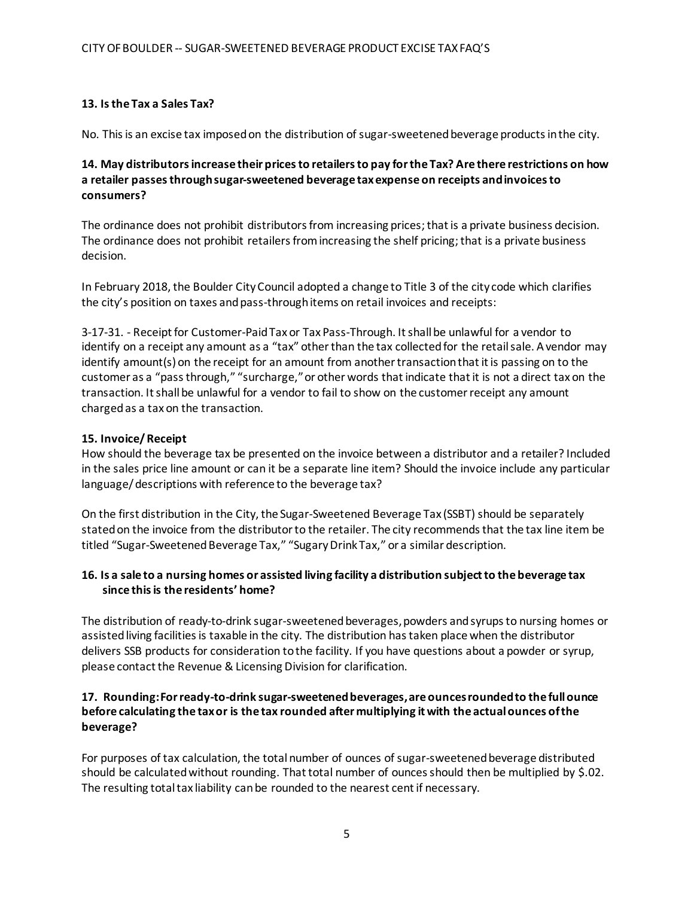# **13. Isthe Tax a Sales Tax?**

No. This is an excise tax imposed on the distribution of sugar-sweetened beverage products in the city.

# **14. May distributors increase their prices to retailers to pay for the Tax? Are there restrictions on how a retailer passes through sugar-sweetened beverage tax expense on receipts and invoices to consumers?**

The ordinance does not prohibit distributors from increasing prices; that is a private business decision. The ordinance does not prohibit retailers from increasing the shelf pricing; that is a private business decision.

In February 2018, the Boulder CityCouncil adopted a change to Title 3 of the city code which clarifies the city's position on taxes and pass-through items on retail invoices and receipts:

3-17-31. - Receipt for Customer-Paid Tax or Tax Pass-Through. It shall be unlawful for a vendor to identify on a receipt any amount as a "tax" other than the tax collected for the retail sale. A vendor may identify amount(s) on the receipt for an amount from another transaction that it is passing on to the customer as a "pass through," "surcharge," or other words that indicate that it is not a direct tax on the transaction. It shall be unlawful for a vendor to fail to show on the customer receipt any amount chargedas a tax on the transaction.

### **15. Invoice/ Receipt**

How should the beverage tax be presented on the invoice between a distributor and a retailer? Included in the sales price line amount or can it be a separate line item? Should the invoice include any particular language/ descriptions with reference to the beverage tax?

On the first distribution in the City, the Sugar-Sweetened Beverage Tax (SSBT) should be separately stated on the invoice from the distributor to the retailer. The city recommends that the tax line item be titled "Sugar-Sweetened Beverage Tax," "Sugary Drink Tax," or a similar description.

### 16. Is a sale to a nursing homes or assisted living facility a distribution subject to the beverage tax **since thisis the residents' home?**

The distribution of ready-to-drink sugar-sweetened beverages, powders and syrups to nursing homes or assisted living facilities is taxable in the city. The distribution has taken place when the distributor delivers SSB products for consideration to the facility. If you have questions about a powder or syrup, please contact the Revenue & Licensing Division for clarification.

### **17. Rounding: For ready-to-drink sugar-sweetened beverages, are ounces rounded to the full ounce before calculating the tax or is the tax rounded after multiplying it with the actual ounces of the beverage?**

For purposes of tax calculation, the total number of ounces of sugar-sweetened beverage distributed should be calculated without rounding. That total number of ounces should then be multiplied by \$.02. The resulting total tax liability canbe rounded to the nearest centif necessary.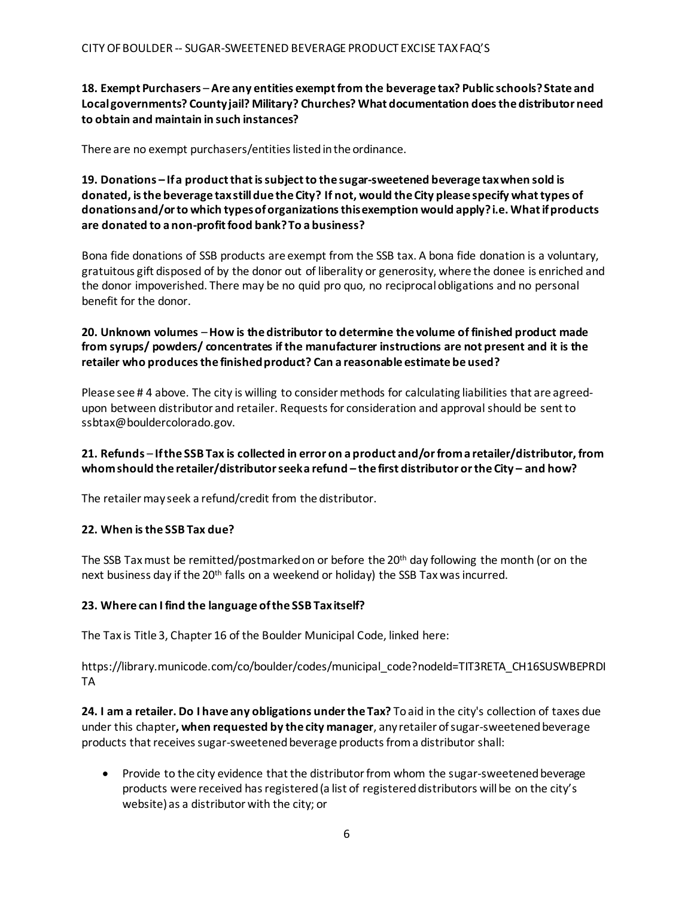# **18. Exempt Purchasers** –**Are any entities exempt from the beverage tax? Public schools? State and Localgovernments? Countyjail? Military? Churches? What documentation doesthe distributor need to obtain and maintain in such instances?**

There are no exempt purchasers/entities listedinthe ordinance.

### **19. Donations – If a product that is subject to the sugar-sweetened beverage tax when sold is donated, is the beverage tax still due the City? If not, would the City please specify what types of donationsand/orto which typesoforganizationsthisexemption would apply?i.e. Whatifproducts are donated to a non-profit food bank? To a business?**

Bona fide donations of SSB products are exempt from the SSB tax. A bona fide donation is a voluntary, gratuitous gift disposed of by the donor out of liberality or generosity, where the donee is enriched and the donor impoverished. There may be no quid pro quo, no reciprocal obligations and no personal benefit for the donor.

# **20. Unknown volumes** –**How is the distributor to determine the volume of finished product made from syrups/ powders/ concentrates if the manufacturer instructions are not present and it is the retailer who producesthe finishedproduct? Can a reasonable estimate be used?**

Please see # 4 above. The city is willing to consider methods for calculating liabilities that are agreedupon between distributor and retailer. Requests for consideration and approval should be sent to [ssbtax@bouldercolorado.gov.](mailto:ssbtax@bouldercolorado.gov)

# **21. Refunds** – **Ifthe SSB Tax is collected in error on a product and/orfroma retailer/distributor, from whomshould the retailer/distributorseeka refund – the first distributor orthe City – and how?**

The retailer may seek a refund/credit from the distributor.

# **22. When isthe SSB Tax due?**

The SSB Tax must be remitted/postmarked on or before the 20<sup>th</sup> day following the month (or on the next business day if the 20<sup>th</sup> falls on a weekend or holiday) the SSB Tax was incurred.

# **23. Where can I find the language ofthe SSB Taxitself?**

The Tax is Title 3, Chapter 16 of the Boulder Municipal Code, linked here:

https://library.municode.com/co/boulder/codes/municipal\_code?nodeId=TIT3RETA\_CH16SUSWBEPRDI TA

**24. I am a retailer. Do I have any obligations under the Tax?** To aid in the city's collection of taxes due under this chapter**, when requested by the city manager**, any retailer of sugar-sweetened beverage products that receives sugar-sweetened beverage products from a distributor shall:

• Provide to the city evidence that the distributor from whom the sugar-sweetened beverage products were received has registered (a list of registered distributors will be on the city's website) as a distributor with the city; or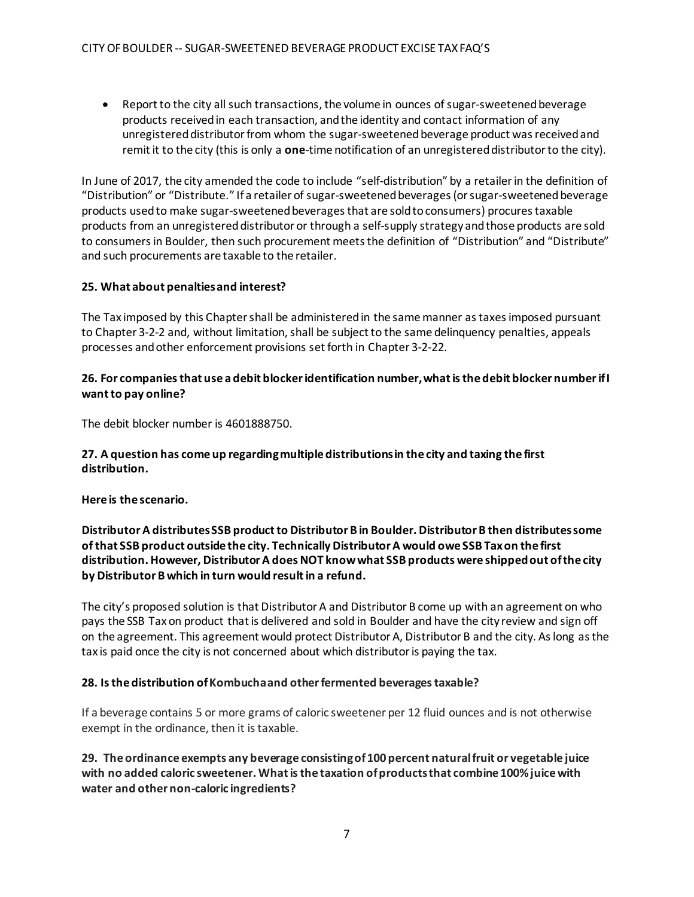• Report to the city all such transactions, the volume in ounces of sugar-sweetened beverage products received in each transaction, and the identity and contact information of any unregistered distributor from whom the sugar-sweetened beverage product was received and remit it to the city (this is only a **one**-time notification of an unregistered distributor to the city).

In June of 2017, the city amended the code to include "self-distribution" by a retailer in the definition of "Distribution" or "Distribute." If a retailer of sugar-sweetened beverages (or sugar-sweetened beverage products used to make sugar-sweetened beverages that are sold to consumers) procures taxable products from an unregistered distributor or through a self-supply strategy and those products are sold to consumers in Boulder, then such procurement meets the definition of "Distribution" and "Distribute" and such procurements are taxable to the retailer.

### **25. What about penaltiesand interest?**

The Tax imposed by this Chapter shall be administered in the same manner as taxes imposed pursuant to Chapter 3-2-2 and, without limitation, shall be subject to the same delinquency penalties, appeals processes andother enforcement provisions set forth in Chapter 3-2-22.

### **26. For companiesthat use a debit blockeridentification number,whatisthe debit blocker numberifI wantto pay online?**

The debit blocker number is 4601888750.

### **27. A question has come up regardingmultiple distributionsin the city and taxing the first distribution.**

**Here is the scenario.**

# **Distributor A distributes SSB product to Distributor B in Boulder. Distributor B then distributes some of that SSB product outside the city. Technically Distributor A would owe SSB Tax on the first distribution. However, Distributor A does NOT know what SSB products were shipped out of the city by Distributor B which in turn would resultin a refund.**

The city's proposed solution is that Distributor A and Distributor B come up with an agreement on who pays the SSB Tax on product that is delivered and sold in Boulder and have the city review and sign off on the agreement. This agreement would protect Distributor A, Distributor B and the city. As long as the tax is paid once the city is not concerned about which distributor is paying the tax.

#### **28. Isthe distribution ofKombuchaand otherfermented beveragestaxable?**

If a beverage contains 5 or more grams of caloric sweetener per 12 fluid ounces and is not otherwise exempt in the ordinance, then it is taxable.

**29. The ordinance exempts any beverage consistingof100 percent naturalfruit or vegetable juice with no added caloric sweetener. What is the taxation of products that combine 100% juice with water and other non-caloric ingredients?**